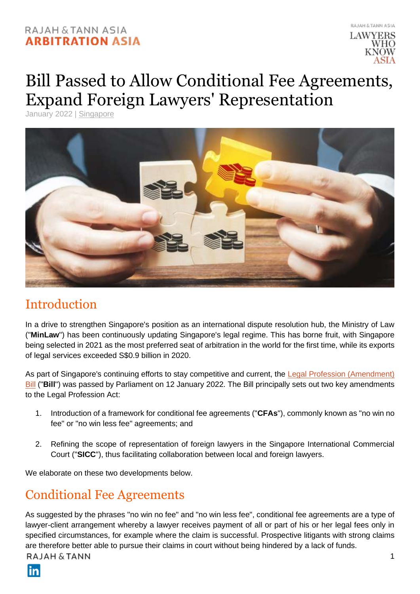### RAJAH & TANN ASIA **ARBITRATION ASIA**



# Bill Passed to Allow Conditional Fee Agreements, Expand Foreign Lawyers' Representation

January 2022 | [Singapore](https://arbitrationasia.rajahtannasia.com/articles/singapore/)



### Introduction

In a drive to strengthen Singapore's position as an international dispute resolution hub, the Ministry of Law ("**MinLaw**") has been continuously updating Singapore's legal regime. This has borne fruit, with Singapore being selected in 2021 as the most preferred seat of arbitration in the world for the first time, while its exports of legal services exceeded S\$0.9 billion in 2020.

As part of Singapore's continuing efforts to stay competitive and current, the [Legal Profession \(Amendment\)](https://sso.agc.gov.sg/Bills-Supp/40-2021/Published/20211101?DocDate=20211101#pr1-)  **[Bill](https://sso.agc.gov.sg/Bills-Supp/40-2021/Published/20211101?DocDate=20211101#pr1-)** ("Bill") was passed by Parliament on 12 January 2022. The Bill principally sets out two key amendments to the Legal Profession Act:

- 1. Introduction of a framework for conditional fee agreements ("**CFAs**"), commonly known as "no win no fee" or "no win less fee" agreements; and
- 2. Refining the scope of representation of foreign lawyers in the Singapore International Commercial Court ("**SICC**"), thus facilitating collaboration between local and foreign lawyers.

We elaborate on these two developments below.

### Conditional Fee Agreements

As suggested by the phrases "no win no fee" and "no win less fee", conditional fee agreements are a type of lawyer-client arrangement whereby a lawyer receives payment of all or part of his or her legal fees only in specified circumstances, for example where the claim is successful. Prospective litigants with strong claims are therefore better able to pursue their claims in court without being hindered by a lack of funds.RAJAH & TANN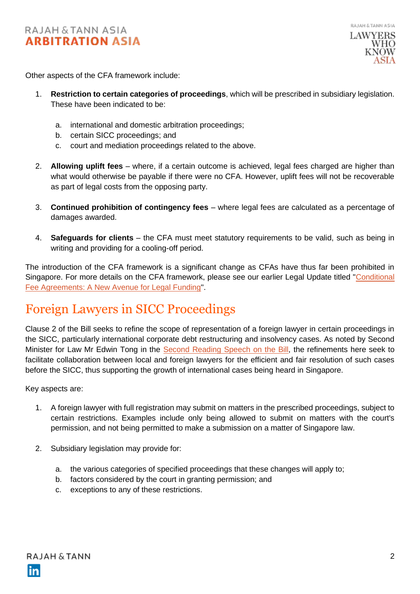Other aspects of the CFA framework include:

- 1. **Restriction to certain categories of proceedings**, which will be prescribed in subsidiary legislation. These have been indicated to be:
	- a. international and domestic arbitration proceedings;
	- b. certain SICC proceedings; and
	- c. court and mediation proceedings related to the above.
- 2. **Allowing uplift fees** where, if a certain outcome is achieved, legal fees charged are higher than what would otherwise be payable if there were no CFA. However, uplift fees will not be recoverable as part of legal costs from the opposing party.
- 3. **Continued prohibition of contingency fees** where legal fees are calculated as a percentage of damages awarded.
- 4. **Safeguards for clients** the CFA must meet statutory requirements to be valid, such as being in writing and providing for a cooling-off period.

The introduction of the CFA framework is a significant change as CFAs have thus far been prohibited in Singapore. For more details on the CFA framework, please see our earlier Legal Update titled ["Conditional](https://arbitrationasia.rajahtannasia.com/conditional-fee-agreements-a-new-avenue-for-legal-funding/)  [Fee Agreements: A New Avenue for Legal Funding"](https://arbitrationasia.rajahtannasia.com/conditional-fee-agreements-a-new-avenue-for-legal-funding/).

### Foreign Lawyers in SICC Proceedings

Clause 2 of the Bill seeks to refine the scope of representation of a foreign lawyer in certain proceedings in the SICC, particularly international corporate debt restructuring and insolvency cases. As noted by Second Minister for Law Mr Edwin Tong in the [Second Reading Speech on the Bill,](https://www.mlaw.gov.sg/news/parliamentary-speeches/2022-01-12-second-reading-speech-by-second-minister-for-law-edwin-tong-on-legal-profession-amendment-bill) the refinements here seek to facilitate collaboration between local and foreign lawyers for the efficient and fair resolution of such cases before the SICC, thus supporting the growth of international cases being heard in Singapore.

Key aspects are:

- 1. A foreign lawyer with full registration may submit on matters in the prescribed proceedings, subject to certain restrictions. Examples include only being allowed to submit on matters with the court's permission, and not being permitted to make a submission on a matter of Singapore law.
- 2. Subsidiary legislation may provide for:
	- a. the various categories of specified proceedings that these changes will apply to;
	- b. factors considered by the court in granting permission; and
	- c. exceptions to any of these restrictions.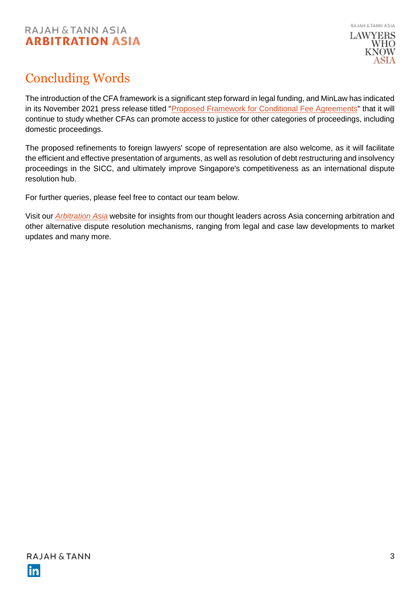### RAJAH & TANN ASIA **ARBITRATION ASIA**



## Concluding Words

The introduction of the CFA framework is a significant step forward in legal funding, and MinLaw has indicated in its November 2021 press release titled ["Proposed Framework for Conditional Fee Agreements"](https://www.mlaw.gov.sg/news/press-releases/2021-11-01-proposed-framework-for-conditional-fee-agreements) that it will continue to study whether CFAs can promote access to justice for other categories of proceedings, including domestic proceedings.

The proposed refinements to foreign lawyers' scope of representation are also welcome, as it will facilitate the efficient and effective presentation of arguments, as well as resolution of debt restructuring and insolvency proceedings in the SICC, and ultimately improve Singapore's competitiveness as an international dispute resolution hub.

For further queries, please feel free to contact our team below.

Visit our *[Arbitration Asia](https://arbitrationasia.rajahtannasia.com/)* website for insights from our thought leaders across Asia concerning arbitration and other alternative dispute resolution mechanisms, ranging from legal and case law developments to market updates and many more.